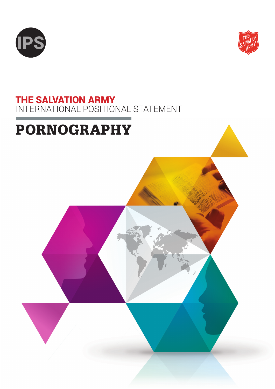



# THE SALVATION ARMY INTERNATIONAL POSITIONAL STATEMENT

# PORNOGRAPHY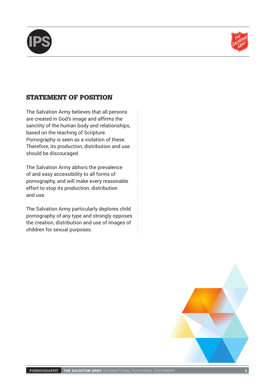



# STATEMENT OF POSITION

The Salvation Army believes that all persons are created in God's image and affirms the sanctity of the human body and relationships, based on the teaching of Scripture. Pornography is seen as a violation of these. Therefore, its production, distribution and use should be discouraged.

The Salvation Army abhors the prevalence of and easy accessibility to all forms of pornography, and will make every reasonable effort to stop its production, distribution and use.

The Salvation Army particularly deplores child pornography of any type and strongly opposes the creation, distribution and use of images of children for sexual purposes.

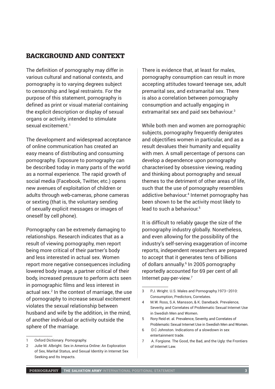# BACKGROUND AND CONTEXT

The definition of pornography may differ in various cultural and national contexts, and pornography is to varying degrees subject to censorship and legal restraints. For the purpose of this statement, pornography is defined as print or visual material containing the explicit description or display of sexual organs or activity, intended to stimulate sexual excitement.<sup>1</sup>

The development and widespread acceptance of online communication has created an easy means of distributing and consuming pornography. Exposure to pornography can be described today in many parts of the world as a normal experience. The rapid growth of social media (Facebook, Twitter, etc.) opens new avenues of exploitation of children or adults through web-cameras, phone cameras or sexting (that is, the voluntary sending of sexually explicit messages or images of oneself by cell phone).

Pornography can be extremely damaging to relationships. Research indicates that as a result of viewing pornography, men report being more critical of their partner's body and less interested in actual sex. Women report more negative consequences including lowered body image, a partner critical of their body, increased pressure to perform acts seen in pornographic films and less interest in actual sex.2 In the context of marriage, the use of pornography to increase sexual excitement violates the sexual relationship between husband and wife by the addition, in the mind, of another individual or activity outside the sphere of the marriage.

There is evidence that, at least for males, pornography consumption can result in more accepting attitudes toward teenage sex, adult premarital sex, and extramarital sex. There is also a correlation between pornography consumption and actually engaging in extramarital sex and paid sex behaviour.<sup>3</sup>

While both men and women are pornographic subjects, pornography frequently denigrates and objectifies women in particular, and as a result devalues their humanity and equality with men. A small percentage of persons can develop a dependence upon pornography characterised by obsessive viewing, reading and thinking about pornography and sexual themes to the detriment of other areas of life, such that the use of pornography resembles addictive behaviour.4 Internet pornography has been shown to be the activity most likely to lead to such a behaviour.5

It is difficult to reliably gauge the size of the pornography industry globally. Nonetheless, and even allowing for the possibility of the industry's self-serving exaggeration of income reports, independent researchers are prepared to accept that it generates tens of billions of dollars annually.<sup>6</sup> In 2005 pornography reportedly accounted for 69 per cent of all Internet pay-per-view.7

<sup>1</sup> Oxford Dictionary. Pornography.

<sup>2</sup> Julie M. Albright. Sex in America Online: An Exploration of Sex, Marital Status, and Sexual Identity in Internet Sex Seeking and Its Impacts.

<sup>3</sup> P.J. Wright. U.S. Males and Pornography.1973–2010: Consumption, Predictors, Correlates.

<sup>4</sup> M.W. Ross, S.A. Mansson, & K. Daneback. Prevalence, Severity, and Correlates of Problematic Sexual Internet Use in Swedish Men and Women.

<sup>5</sup> Rory Reid et. al. Prevalence, Severity, and Correlates of Problematic Sexual Internet Use in Swedish Men and Women.

<sup>6</sup> D.C Johnston. Indications of a slowdown in sex entertainment trade.

<sup>7</sup> A. Forgione. The Good, the Bad, and the Ugly: the Frontiers of Internet Law.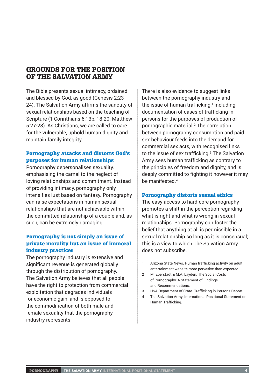### GROUNDS FOR THE POSITION OF THE SALVATION ARMY

The Bible presents sexual intimacy, ordained and blessed by God, as good (Genesis 2:23- 24). The Salvation Army affirms the sanctity of sexual relationships based on the teaching of Scripture (1 Corinthians 6:13b, 18-20; Matthew 5:27-28). As Christians, we are called to care for the vulnerable, uphold human dignity and maintain family integrity.

#### Pornography attacks and distorts God's purposes for human relationships

Pornography depersonalises sexuality, emphasising the carnal to the neglect of loving relationships and commitment. Instead of providing intimacy, pornography only intensifies lust based on fantasy. Pornography can raise expectations in human sexual relationships that are not achievable within the committed relationship of a couple and, as such, can be extremely damaging.

#### Pornography is not simply an issue of private morality but an issue of immoral industry practices

The pornography industry is extensive and significant revenue is generated globally through the distribution of pornography. The Salvation Army believes that all people have the right to protection from commercial exploitation that degrades individuals for economic gain, and is opposed to the commodification of both male and female sexuality that the pornography industry represents.

There is also evidence to suggest links between the pornography industry and the issue of human trafficking, $1$  including documentation of cases of trafficking in persons for the purposes of production of pornographic material.2 The correlation between pornography consumption and paid sex behaviour feeds into the demand for commercial sex acts, with recognised links to the issue of sex trafficking.3 The Salvation Army sees human trafficking as contrary to the principles of freedom and dignity, and is deeply committed to fighting it however it may be manifested.4

#### Pornography distorts sexual ethics

The easy access to hard-core pornography promotes a shift in the perception regarding what is right and what is wrong in sexual relationships. Pornography can foster the belief that anything at all is permissible in a sexual relationship so long as it is consensual; this is a view to which The Salvation Army does not subscribe.

4 The Salvation Army. International Positional Statement on Human Trafficking.

<sup>1</sup> Arizona State News. Human trafficking activity on adult entertainment website more pervasive than expected.

<sup>2</sup> M. Eberstadt & M.A. Layden. The Social Costs of Pornography: A Statement of Findings and Recommendations.

<sup>3</sup> USA Department of State. Trafficking in Persons Report.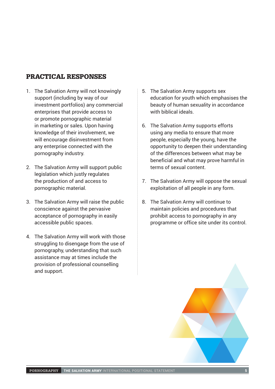# PRACTICAL RESPONSES

- 1. The Salvation Army will not knowingly support (including by way of our investment portfolios) any commercial enterprises that provide access to or promote pornographic material in marketing or sales. Upon having knowledge of their involvement, we will encourage disinvestment from any enterprise connected with the pornography industry.
- 2. The Salvation Army will support public legislation which justly regulates the production of and access to pornographic material.
- 3. The Salvation Army will raise the public conscience against the pervasive acceptance of pornography in easily accessible public spaces.
- 4. The Salvation Army will work with those struggling to disengage from the use of pornography, understanding that such assistance may at times include the provision of professional counselling and support.
- 5. The Salvation Army supports sex education for youth which emphasises the beauty of human sexuality in accordance with biblical ideals.
- 6. The Salvation Army supports efforts using any media to ensure that more people, especially the young, have the opportunity to deepen their understanding of the differences between what may be beneficial and what may prove harmful in terms of sexual content.
- 7. The Salvation Army will oppose the sexual exploitation of all people in any form.
- 8. The Salvation Army will continue to maintain policies and procedures that prohibit access to pornography in any programme or office site under its control.